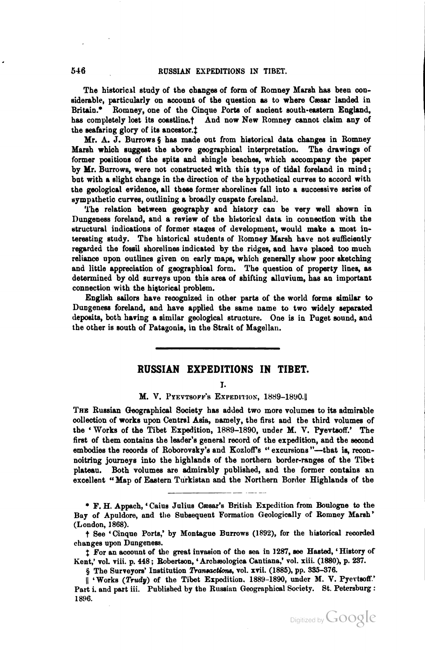The historical study of the changes of form of Romney Marsh has been coneiderable, particularly on account of the question **as** to where Caesar landed in Britain.\* Romney, one of the Cinque Ports of ancient south-eastern England, has completely lost its coastline.<sup>†</sup> And now New Romney cannot claim any of the seafaring glory of its ancestor.<sup> $†$ </sup>

Mr. A. J. Burrows § has made out from historical data changes in Romney Marsh which suggest the above geographical interpretation. The drawings of former positions of the spite and shingle beaches, which accompany the paper by Mr. Burrows, were not constructed with this type of tidal foreland in mind; but with a slight change in the direction of the hypothetical curves to accord with the geological evidence, all these former shorelines fall into a successive seriea of sympathetic curves, outlining a broadly cuspate foreland.

The relation between geography and history can be very well shown in Dungeness foreland, and a review of the historical data in connection with the structural indications of former stages of development, would make a most interesting study. The historical students of Romney Marsh have not sufficiently regarded the fossil shorelines indicated by the ridges, and have placed too much reliance upon outlinea given on early maps, which generally show poor &etching and little appreciation of geographical form. The question of property lines, as determined by old surveys upon this area of shifting alluvium, has an important connection with the hiptorical problem.

English sailors have recognized in other parts of the world forms similar to Dungeness foreland, and have applied the same name to two widely separated deposits, both having a similar geological structure. One is in Puget sound, and the other is south of Patagonis, in the Strait of Magellan.

# **RUSSIAN EXPEDITIONS IN TIBET.**

T.

M. V. PYEVTSOFF'S EXPEDITION, 1889-1890.

**THE** Russian Geographical Society has added two more volumes to **ite** admirable oollection of works upon Central **Baa,** namely, the first and the third volumes of the 'Works of the Tibet Expedition, 1889-1890, under M. **V.** Pyevtsoff.' The first of them contains the leader's general record of the expedition, and tbe eecond embodies the records of Roborovsky's and Kozloff's " excursions "--that is, reconnoitring journeys into the highlands of the northern border-ranges of the Tibet plateau. Both volumes are admirably published, and the former contains an excellent "Map of Eastern Turkistan and the Northern Border Highlands of the

\* F. H. Appach, ' Caius Julius Cæsar's British Expedition from Boulogne to the Bay of Apuldore, and the Subsequent Formation Geologically of Romney Marsh' (London, 1868).

 $t$  See 'Cinque Ports,' by Montague Burrows (1892), for the historical recorded changes upon Dungeness.

\$ Ror an acooumt of the great invneion of the sea in 1287, **see** Hasted, 'History of Kent,' vol. viii. p. 448; Robertson, 'Archaeologica Cantiana,' vol. xiii. (1880), p. 237.

§ The Surveyors' Institution *Transactions*, vol. xvii. (1885), pp. 335-376.

(1 'Works (Trudy) of the Tibet Expedition. 1889-1890, under M. V. Pyerteoff.' Part i. and part iii. Published by the Russian Geographical Society. St. Petersburg : 1896.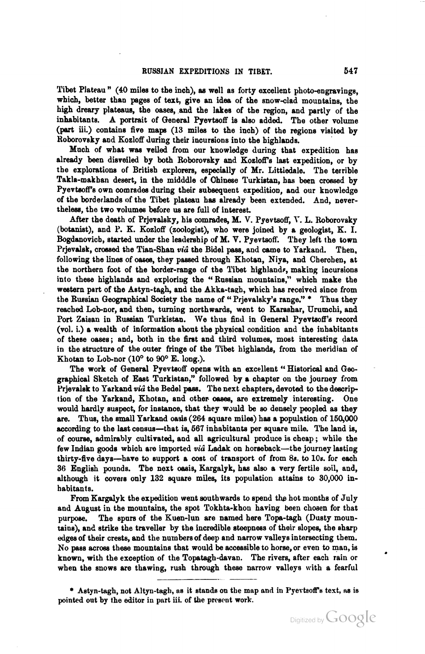Tibet Plateau " (40 miles to the inch), as well as forty excellent photo-engravings, which, better than pages of text, give an idea of the snow-clad mountains, the high dreary plateaus, the oases, and the lakes of the region, and partly of the inhabitants. A portrait of General Pyevtsoff is **also** added. The other volume (part iii.) contains five maps (13 miles to the inch) of the regions visited by Roborovsky and Kozloff during their incursions into the highlands.

Mnch of what was veiled from our knowledge during that expedition has already been disveiled by both Roborovsky and Kozloff's last expedition, or by the explorations of British explorers, especially of Mr. Littiedale. The terrible Takla-makhan desert, in the midddle of Ohinese Turkiatan, haa been crossed by Pyevtsoff's own comrades during their subsequent expedition, and our knowledge of the borderlands of the Tibet plateau has already been extended. And, neverthelees, the two volumee before **ua** are full of interest.

After the death of Prjevaleky, his comrades, M. V. Pyevtsoff, **T'.** L. Roborovsky (botanist), and P. K. Kozloff (zoologist), who were joined by a geologist, K. I. Bogdanovicb, started under the leadership of M. V. Pyevtsoff. They left the town Prjevalsk, crossed the Tian-Shan *vid* the Bidel pass, and came to Yarkand. Then, following the lines of **oases**, they passed through Khotau, Niya, and Cherohen, at the northern foot of the border-range of the Tibet highlands, making incursions into these highlands and exploring the "Russian mountains," which make the western part of the Astyn-tagh, and the Akka-tagh, which has received since from the Russian Geographical Society the name of " Prjevalsky's range." \* Thus they reached Lob-nor, and then, turning northwards, went to Karashar, Urumchi, and Port Zaisan in Russian Turkistan. We thus find in General Pyevtsoff's record (vol. i.) a wealth of information about the physical condition and the inhabitants of these oases; and, both in the first and third volumes, most interesting data in the structure of the outer fringe of the Tibet highlands, from tho meridian of Khotan to Lob-nor (10' to **90'** E. long.).

The work of General Pyevtsoff opens with an excellent "Historical and Geographical Sketch of East Turkistan," followed by **a** ohapter on the journey from Prjevalsk to Yarkand *vid* the Bedel pass. The next chapters, devoted to the description of the Yarkand, Khotan, and other cases, are extremely interesting. One would hardly suspect, for instance, that they would be so densely peopled as they are. Thus, the small Yarkand oasis (264 square miles) has a population of 150,000 according to the last census—that is, 567 inhabitants per square mile. The land is, of **courae,** admirably cultivated, and all agricultural produce is cheap ; while the few Indian goods which are imported *vid* Ladak on horseback—the journey lasting thirty-five days-have to support a cost of transport of from **8s.** to **108.** for each **36** Engliah pounds. The next oasis, Kargalyk, has also a very fertile soil, and, although it covers only **132** square milea, its population attains to 30,000 inhabitants.

From Kargalyk the expedition went southwards to spend the hot months of July and August in the mountains, the spot Tokhta-khon having been choaen for that purpose. The spurs of the Kuen-lun are named here Topa-tagh (Dusty mountains), and strike the traveller by the incredible steepness of their slopes, the sharp edges of their crests, and the numbers of deep and narrow valleys intersecting them. No pass acrose these mountains that would be accessible to horse,or even to man, is known, with the exception of the Topatagh-davan. The rivers, after each rain or when the snows are thawing, rush through these narrow valleys with a fearful

\* Astyn-tagh, not Altyn-tagh, as it stands on the map and in Pyertsoff's text, as is pointed out by the editor in part iii. of the present work.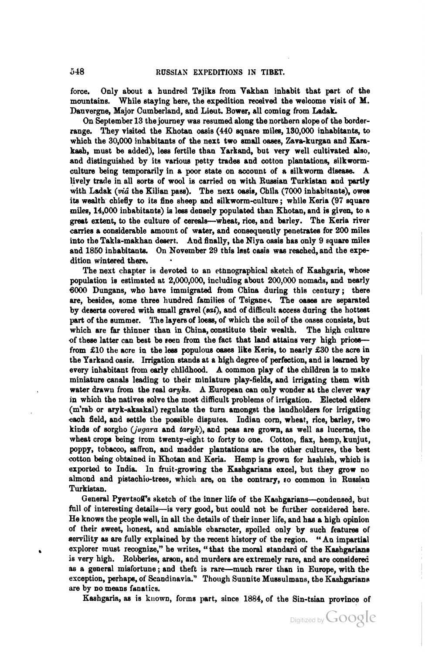force. Only about a hundred Tajiks from Vakhan inhabit that part of the mountaine. While staying here, the expedition received the weloome visit of M. Dauvergne, Major Cumberland, and Lieut. Bower, all coming from Ladak.

On September 13 the journey was resumed along the northern slope of the borderrange. They visited the Khotan oasis (440 aqnare milee, 130,000 inhabitants, to which the 30,000 inhabitants of the next two small oases, Zava-kurgan and Kara**kaeh,** must be added), lees fertile than Yarkmd, but very well cultivated also, and distinguished by its various petty trades and cotton plantations, silkwormculture being temporarily in a poor state on scconnt of a eilkworm disease. A lively trade in all sorts of wool is carried on with Russian Turkistan and partly with Ladak *(vid* the Kilian pass). The next casis, Chila (7000 inhabitants), owes its wealth chiefly to its fine sheep and silkworm-culture ; while Keria (97 square miles, 14,000 inhabitants) **ia** less deneely populated than Khotan, and is given, to **a**  great extent, to the culture of cereals-wheat, rice, and barley. The Keria river carries a considerable amount of water, and consequently penetrates for 200 miles into the Takls-makhan deaert. And finally, the Niyn oasis has only 9 square miles and 1850 inhabitants. On November 29 this last casis was reached, and the expedition wintered there.

The next chapter is devoted to an ethnographical sketch of Kashgaria, whose population ie estimated at 2,000,000, including about 200,000 nomads, and nearly 6000 Dungans, who have immigrated from China during this century; there are, besides, some three hundred families of Tsiganes. The cases are separated by deserts covered with small gravel (sai), and of difficult access during the hottest **part** of the eummer. The layersof loess, of which the soil of the onsea consists, but which are far thinner than in China, constitute their wealth. The high culture of these latter can best be seen from the fact that land attains very high pricesfrom £10 the acre in the less populous cases like Keris, to nearly £30 the acre in the Yarkand oasis. Irrigation stands at a high degree of perfection, and is learned by every inhabitant from early childhood. A common play of the children is to make miniature canals leading to their miniature play-fields, and irrigating them with water drawn from the real *aryks.* A European can only wonder at the clever way in which the natives solve the most difficult problems of irrigation. Elected elders (m'rab or aryk-aksaksl) regulate the turn amongst the landholders for irrigating each field, and settle the possible disputes. Indian corn, wheat, rice, barley, two kinds of sorgho (jugara and taryk), and peas are grown, as well as lucerne, the wheat crops being from twenty-eight to forty to one. Cotton, flax, hemp, kunjut, poppy, tobacco, saffron, and madder plantations are the other cultures, the best cotton being obtained in Khotan and Keria. Hemp is grown for hashish, which is exported to India. In fruit-growing the Kashgarians excel, but they grow no almond and pistachio-trees, which are, on the contrary, so common in Russian Turkistan.

General Pyevtsoff's sketch of the inner life of the Kashgarians-condensed, but full of interesting details-is very good, but could not be further considered here. He knows the people well, in all the details of their inner life, and has a high opinion of their sweet, lionest, and amiable character, spoiled only by such features of servility as are fully explained by the recent history of the region. "An impartial explorer muat recognize," he writes, "that the moral standard of the Kashgarians is very high. Robberies, arson, and murders are extremely rare, and are considered **as** a general misfortune; and theft is rare-much rarer than in Europe, with the exception, perhaps, of Scandinavia." Though Sunnite Mussulmans, the Kashgarians are by no means fanatics.

Kashgaria, **as** is known, forms part, since 1884, of the Sin-tsian province of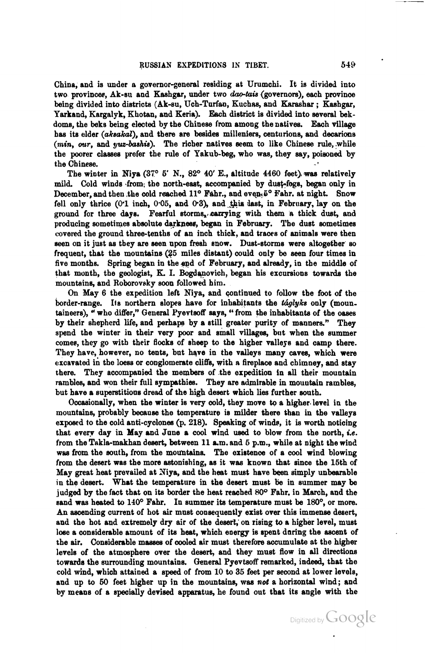China, and is under a governor-general residing at Urumchi. It is divided into two provinces, Ak-su and Kashgar, under two dao-tais (governors), each province being divided into districts (Ak-su, Uch-Turfan, Kuchas, and Karashar; Kashgar, Yarkand, Kargalyk, Khotan, and Keria). Each district is divided into several bekdome, the beks being elected by the Chinese from among the natives. Each village has its elder *(aksakal)*, and there are besides milleniers, centurions, and decarions (min, *our,* and **yuz-badis).** The ricber natives **seem** to like Chinese rule, .while the poorer classes prefer the rule of Yakub-beg, who was, they say, poisoned by the Chinese.

The winter in Niya **(3'7'** 6' N., 82' 40' E., altitude 4460 feet), **was** relatively mild. Cold winds from; the north-east, accompanied by dust-fogs, began only in December, and then the cold reached 11° Fahr., and even  $5^{\circ}$  Fahr. at night. Snow fell only thrice (0.1 inch, 0.05, and 0.3), and this dast, in February, lay on the ground for three days. Fearful storms, carrying with them a thick dust, and producing sometimes absolute darkness, began in February. The dust sometimes covered the ground three-tenths of an inch thick, and traces of animals were then seen on it just as tbey are seen upon fresh snow. Dust-storms were altogether so frequent, that the mountains (25 miles distant) could only be seen four times in five months. Spring began in the end of February, and already, in the middle of that month, the geologist, **K** I. Bogdqovich, began his excursions towarda the mountains, and Roborovsky soon followed him.

On May 6 the expedition left Niya, and continued to follow the foot of the border-range. Its northern slopes have for inhabitants the taglyks only (mountaineers), " who differ," General Pyevtsoff says, "from the inhabitants of the oases by their shepherd life, and perhapa by a etill greater purity of manners." They spend the winter in their very poor and small **villagee,** hut when the summer comee, they go with their **Bocks** of sheep to the higher vallejs and camp there. They have, however, no tents, but have in the valleys many caves, which were excavated in the loess or conglomerate cliffs, with a fireplace and chimney, and stay there. They accompanied the members of .the expedition in all their mountain rambles, and won their full sympethies. They are admirable in mouutain ramblea, but have a superstitions dread of the high desert which lies further south.

Occasionally, when the winter is very cold, they move to a higher level in the mountains, probably because the temperature is milder there than in the valleys exposed to the cold anti-cyclones (p. 218). Speaking of winds, it is worth noticing that every day in May and June a cool wind used to blow from the north, i.e. from the Tnkla-makhan deaert, between 11 am. and 5 p.m., while at night the wind was from the south, from the mountains. The existence of a cool wind blowing from the deeert was the more astonishing, as it was known that since the 15th of May great heat prevailed at Xiye, and the heat must have been simply unbearable in the deeert. What the temperature in the deeert must **lie** in summer may be judged by the fact that on its border the heat reacbed **80°** Fahr. in March, and the sand was heated to 140° Fahr. In summer its temperature must be 180°, or more. An ascending current of hot air must consequently exist over this immense desert, and the hot and extremely dry air of the desert; on rising to a higher level, must lose a considerable amount of its heat, which energy is spent daring the ascent of the air. Considerable masses of cooled air must therefore accumulate at the higher levels of the atmosphere over the desert, and they must flow in all directions towards the surrounding mountains. General Pyevtsoff remarked, indeed, that the cold wind, whioh attained a speed of from 10 to 35 feet per second at lower levels, and up to **60** feet higher up in the mountains, was **not** a horizontal wind; and by means of a speoially devised apparatus, he found out that its angle with the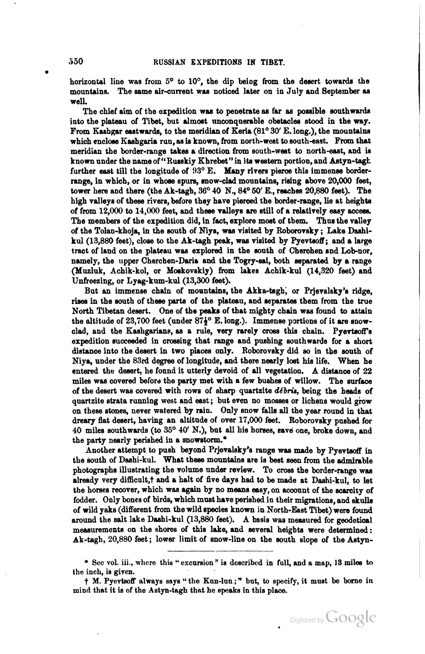horizontal line was from 5° to 10°, the dip being from the desert towards the mountains. The same air-current was noticed later on in July and September as well.

The chief aim of the expedition was to penetrate as far as possible southwards into the plateau of Tibet, but almost unconquerable obsteclee stood in the way. From Kashgar eastwards, to the meridian of Keria  $(81^{\circ}30' \text{ E. long.})$ , the mountains which enclose Kashgaria run, as is known, from north-west to south-east. From that meridian the border-range takes a direction from south-west to north-east, and is known under the name of "Russkiy Khrebet" in its western portion, and Astyn-tagh further east till the longitude of  $93^{\circ}$  E. Many rivers pieroe this immense borderrange, in which, or in whose spurs, snow-clad mountains, rising above 20,000 feet, tower here and there (the Ak-tagh,  $36^{\circ}$  40 N.,  $84^{\circ}$  50' E., reaches 20,880 feet). The high valleys of these rivers, before they have pieroed the border-range, lie at heighte of from 12,000 to 14,000 feet, and theee valleys are still of a relatively easy **ncceea**  The members of the expedition did, in fact, explore most of them. Thus the valley of the Tolan-khoja, in the south of **was** visited by Robororsky ; Lake Dashikul (13,880 feet), close to the Ak-tagh peak, was visited by Pyevtsoff; and a large tract of land on the plateau was explored in the south of Cherchen and Lob-nor, namely, the upper Cherchen-Daria and the Togry-sai, both separated by a range (Muzluk, Achik-kol, or Moekovskiy) from lakes Achik-kul (14,320 feet) and Unfreezing, or Lyag-kum-kul (13,300 feet).

But an immense chain of mountains, the Akke-tagh; or Prjevalsky's ridge, rises in the south of these parts of the plateau, and separates them from the true North Tibetan desert. One of the peaks of that mighty chain was found to attain the altitude of  $23,700$  feet (under  $87\frac{1}{2}$ ° E. long.). Immense portions of it are snowclad, and the Kashgarians, as a rule, very rarely cross this chain. Pyevtsoff's expedition succeeded in crossing that range and pushing southwards for a short distance into the desert in two places only. Roborovsky did so in the south of Niya, under the 83rd degree of longitude, and there nearly **loat his** life. When he entered the desert, he found it utterly devoid of all vegetation. A distance of 22 miles waa covered befora the party met with a few bushee of willow. The surface of the desert was covered with rows of sharp quartzite  $d\ell b$ ris, being the heads of quartzite strata running west and east; but even no mosses or lichens would grow on these stones, never watered by rain. Only snow falls all the year round in that dreary flat desert, having an altitude of over 17,000 feet. Roborovsky pushed for 40 miles southwards (to 35° 40' N.), but all his horses, save one, broke down, and the party nearly perished in a snowstorm.\*

Another attempt to push beyond Prjeralaky's range wee made by Pyevtsoff in the south of Dashi-kul. What these mountains are is best seen from the admirable photographs illustrating the volume under review. To cross the border-range was already very difficult,t and a halt of five days had to be made at Dashi-kul, to let the horses recover, which was again by no means easy, on account of the scarcity of fodder. Only bones of birda, which mnat have perished in their migrations, and skulls of wild yaks (different from the wild species known in North-East Tibet) were found around the salt lake Dashi-kul (13,880 feet). A basis was measured for geodetical measurements on the shores of this lake, and several heights were determined:  $Ak-tagh$ ,  $20,880$  feet; lower limit of snow-line on the south slope of the Astyn-

<sup>\*</sup> See vol. iii., where this "excursion" is described in full, and a map, 13 miles to the inch, is given.

<sup>&</sup>lt;sup>†</sup> M. Pyevtsoff always says "the Kun-lun;" but, to specify, it must be borne in mind thnt it is of the Astyn-tagh thnt he speaks in this place.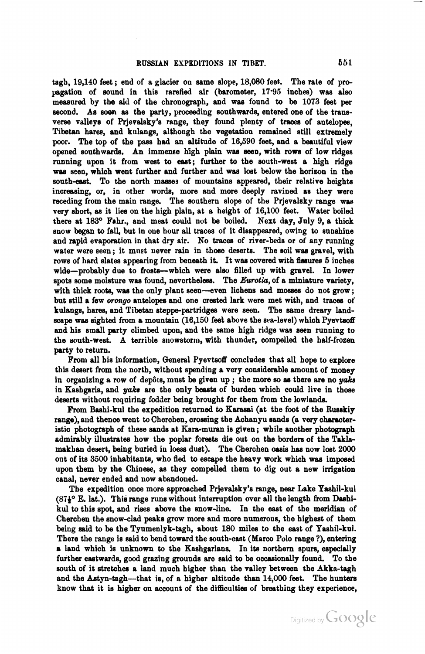tagh, 19,140 feet; end of a glacier on same slope, 18,080 feet. The rate of propagation of sound in this rarefied air (berometer, 17.95 inches) was also measured by the aid of the chronogrsph, and was found to be 1073 feat per aecond. As soon as the party, proceeding southwards, entered one of the tranaverse valleye of Prjevalsky's range, they found plenty of traoea of antelopea, Tibetan hares, and kulangs, although the vegetation remained still extremely poor. The top of the pass had an altitude of  $16,590$  feet, and a beautiful view opened southwards. An immenee high plain wae seen, with rows of low ridges running upon it from west to east; further to the south-west a high ridge was seen, which went further and further and was lost below the horizon in the south-east. To the north masses of mountains appeared, their relative heights increasing, or, in other words, more and more deeply ravined as they were receding from the main range. The southern slope of the Prjevalsky **mge** waa very short, as it lies on the high plain, at a height of 16,100 feet. Water boiled there at 183° Fahr., and meat could not be boiled. Next day, July 9, a thick snow began to fall, but in one hour all traces of it disappeared, owing to sunshine and rapid evaporation in that dry air. No traces of river-beds or of any running water were seen; it must never rain in those deserts. The soil was gravel, with rows of hard slates appearing from beneath it. It was covered with fissures 5 inches wide-probably due to frosts-which were also filled up with gravel. In lower spots some moisture was found, nevertheless. The Eurotia, of a miniature variety, with thick roots, was the only plant seen-even lichens and mosses do not grow; but still a few orongo antelopes and one crested lark were met with, and traces of kulangs, hares, and Tibetan steppe-partridges were seen. The same dreary landscape wae sighted from a mountain (16,150 feet above the sra-level) whioh Pyevtaoff and his small party climbed upon, and the same high ridge was aeen running to the anuth-west. A terrible snowstorm, with thuoder, compelled the half-frozen party to return.

From all his information, General Pyevtsoff ooncludes that all hope to explore this desert from the north, without spending a very considerable amount of money in orgmizing a row of dep618, must be given up ; the more so ae there are no **yaks**  in Kashgaria, and *yaks* are the only beasts of burden which could live in those deserts without requiring fodder being brought for them from the lowlands.

From Bashi-kul the expedition returned to Karasai (at the foot of the Russkiy range), and thence went to Cherchen, crossing the Achanyu sands (a very characteristic photograph of these sands at Kara-muran is given; while another photograph admirably illustrates how the poplar forests die out on the borders of the Taklamakhan desert, being buried in loess dust). The Cherchen oasis has now lost 2000 out of its 3500 inhabitants, who fled to escape the heavy work which was imposed upon them by the Chinese, as they compelled them to dig out a new irrigation canal, never ended and now abandoned.

The expedition once more approached Prjevalsky's range, near Lake Yashil-kul  $(87<sub>4</sub>°)$  E. lat.). This range runs without interruption over all the length from Dashikul to this spot, and rises above the snow-line. In the east of the meridian of Cherchen the snow-clad peaks grow more and more numerous, the highest of them being said to be the Tynmeolyk-tagh, about 180 miles to the east of Yashil-kul. There the range is said to bend toward the south-east (Marco Polo range ?), entering a land which is unknown to the Kashgarians. In its northern spurs, especially further eastwards, good grazing grounds are said to be occasionally found. To the south of it stretches a land much higher than the valley between the Akkn-tagh and the Astyn-tagh-that is, of a higher altitude than 14,000 feet. The hunters know that it is higher on account of the difficulties of breathing they experience,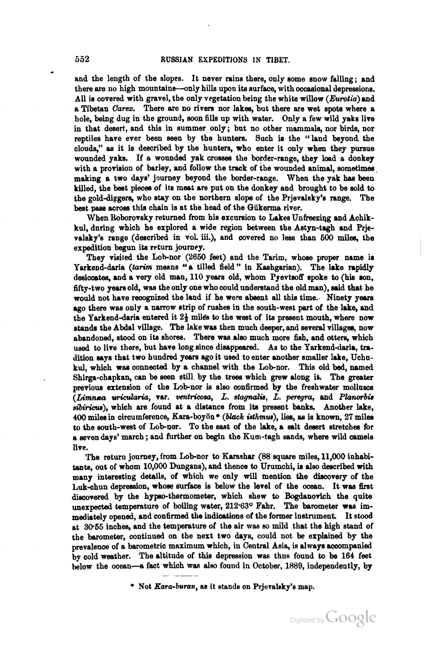and the length of the slopes. It never rains there, only some snow falling; and there are no high mountains---only hills upon its surface, with occasional depressions. All is covered with gravel, the only vegetation being the white willow  $(Eurotia)$  and a Tibetan Carex. There are no rivers nor lakes, but there are wet spots where a hole, being dug in the ground, soon fills up with water. Only a few wild yaks live in that desert, and this in summer only; but no other mammals, nor birds, nor reptiles have ever been seen by the hunters. Such is the "land beyond the clouda," **as** it is described by the hunters, who enter it only when they pursue wounded yake. If a wounded yak crossea the border-range, they load a donkey with a provision of barley, and follow the track of the wounded animal, sometimes making a two days' journey beyond the border-range. When the yak **has** been killed, the best pieces of its meat are put on the donkey and brought to be sold to the gold-diggers, who stay on the northern slope of the Prjevalsky's range. The best **paes** acroaa thia chain is at the head of the Giikerma river.

When Roborovsky returned from his excursion to Lakes Unfreezing and Achikkul, during which he explored a wide region between the Astyn-tagh and Prjevalsky's range (described in voL **iii.),** and oovered no lees than 600 miles, the expedition **begun** its return journey.

They visited the Lob-nor (2650 feet) and the Tarim, whose proper name is Yarkend-daria *(tarim* means "a tilled field" in Kashgarian). The lake rapidly desiccates, and a very old man, 110 years old, whom Pyevtsoff spoke to (his son, fifty-two years old, was the only one who could understand the old man), said that he would not have recognized the land if he were absent all this time. Ninety years ago there was only a narrow strip of rushes in the south-west part of the lake, and the Yarkend-daria entered it  $2\frac{1}{2}$  miles to the west of its present mouth, where now stande the Abdal village. The lalie was then much deeper, and **several** villages, now abandoned, stood on ita shores. There was aleo much more fish, and **otters** which uaed to live there, but have long since diaappared. As to the Yarkend-daria, *tra*dition Bays that two hundred **yeere** ago it uaed to enter another smaller lake, Uchnkul, which was connected by a channel with the Lob-nor. This old bed, named Shirga-chapkan, can be seen still by the trees which grew along ik. The greater previous extension of the Lob-nor is also confirmed by the freshwater molluscs (Limnæa uricularia, var. ventricosa, L. stagnalis, L. peregra, and Planorbis sibiricus), which are found at a distance from its present banks. Another lake, 400 miles in circumference, Kara-boytin **(black isthmus),** liea, **aa** is known, 27 miles to the south-west of Lob-nor. To the east of the lake, a salt desert stretches for a seven days' march; and further on begin the Kum-tagh sands, where wild camels live.

The return journey, from Lob-nor to Karashar (88 square miles, 11,000 inhabitants, out of whom 10,000 Dungans), and thence to Urumchi, is also described with many interesting details, of which we only **will** mention the diecoverg of the Luk-chun depression, whose surface is below the level of the ocean. It was first discovered by the hypso-thermometer, which shew to Bogdanovich the quite unexpected temperature of boiling water, 212<sup>.63°</sup> Fahr. The barometer was immediately opened, and confirmed the indications of the former instrument. It stood at 3QS6 inches, and the temperature of the air was **so** mild that the high stand of the barometer, continued on the next two days, could not be explained by the prevalence of a barometric maximum which, in Central Asia, is always accompanied  $\bar{b}v$  cold weather. The altitude of this depression was thus found to be 164 feet below the ocean-a fact which was also found in October, 1889, independently, by

\* Not Kara-bumn, as it stands on Prjeralsky'e **map.**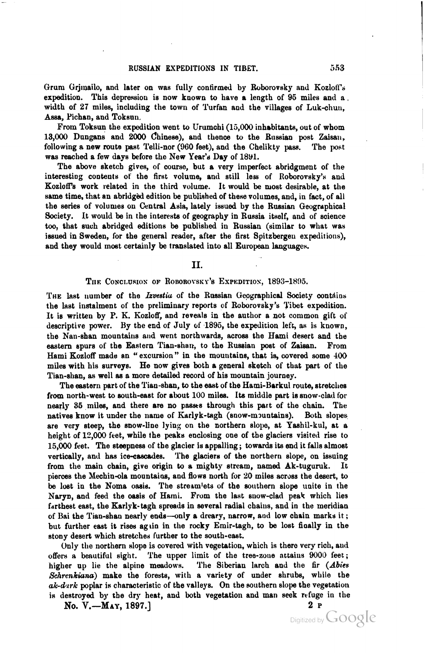Grum Grjmailo, and later on was fully confirmed by Roborovsky and Kozlofi's expedition. This depression is now known to have a length of  $95$  miles and a, width of 27 miles, including the town of Turfan and the villages of Luk-chuu, Assa, Pichan, and Toksun.

From Toksun the expedition went to Crumohi (15,000 inhebitants, out of whom 13,000 Dungans and 2000 Chinese), and thence to the Russian post Zaisan, following a new route past Telli-nor (960 feet), and the Chelikty pass. The post was reached a few days before tho New Year'& Day of 1891.

The above sketch gives, of course, but a very imperfect abridgment of the interesting contents of the first volume, and still less of Roborovsky's and Kozloffs work related in the third volume. It would be most desirable, at the same time, that an abridged edition be published of these volumes, and, in fact, of all the aeries of volumes on Central Asia, lately issued by the Russian Geographical Society. It would be in the interests of geography in Russia itself, and of science too, that such abridged editions be published in Russian (similar to what was issued in Sweden, for the general reader, after the first Spitzbergen expeditions), and they would most certainly be translated into all European languages.

### **II.**

#### THE CONCLUSION OF ROBOROVSKY'S EXPEDITION, 1893-1895.

THE last number of the *Izvestia* of the Russian Geographical Society contains the last instalment of the preliminary reports of Roborovsky's Tibet expedition. It is written by P. K. Bozlcff, and reveals in the author a not common gift of descriptive power. By the end of July **6f** 189.5, the expedition left, **nx** is known, the Nan-shan mountains and went northwards, across the Hami desert and the eastern spurs of the Eastern Tian-shan, to the Russian post of Zaisan. From Hami Kozloff made an "excursion" in the mountains, that is, covered some **400**  milea with his surveys. He now gives both a general sketch of that part of the Tian-shan, as well as a more detailed record of his mountain journey.

The eastern part of the Tian-shan, to the east of the Hami-Barkul route, stretches from north-west to south-east for about 100 miles. Its middle part issnow-clad for nearly *36* miles, and there are no passes through this part of the chain. The natives know it under the name of Karlyk-tagh (snow-mountains). Both slopes are very steep, the snow-line lying on the northern slope, at Ysshil-kul, at a height of 12,000 feet, while the peaka enclosing one of the glaciers visited rise to 15,000 feet. The steepness of the glacier is appalling; towards its end it falls almost vertically, and has ice-cascades. The glaciers of the northern slope, on issuing from the main chain, give origin to a mighty stream, named Ak-tuguruk. It pierces the Mechin-ola mountains, and flows north for 20 miles across the desert, to be lost in the Noma casis. The streamlets of the southern slope unite in the Naryn, and feed the oasis of Hami. From the last suow-clad peak which lies farthest east, the Karlyk-tagh spreads in several radial chains, and in the meridian of Bai the Tian-shan nearly ends--only a dreary, narrow, sod low chain marks it ; but further east it rises agin in the rocky Emir-tagh, to be lost finally in the stony desert which stretches further to the south-east.

Only the northern slope is covered with vegetation, which is there very rich, and offers a beautiful sight. The upper limit of the tree-zone attains  $9000$  feet; higher up lie the alpine meadorvs. The Siberian larch and the fir *(Abies*  Schrenkiana) make the forests, with a variety of under shrubs, while the ak-dark poplar is characteristic of the valleys. On the southern slope the vegetation is destroyed by the dry heat, and both vegetation and man seek refuge in the

**No. V.—May, 1897.] 2 P Digitized by GOOQL**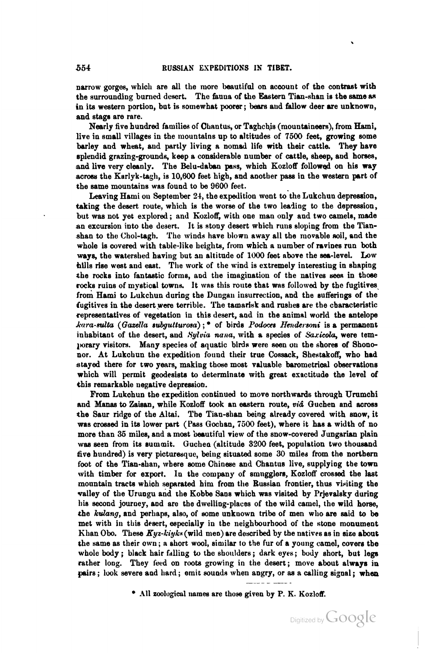narrow gorges, which are all the more beautifal on account of the contrast with the surrounding burned desert. The fauna of the Eastern Tian-shan is the same as in its western portion, but is somewhat poorer; bears and fallow deer are unknown, and stags are rare.

Nearly five hundred families of Chantus, or Taghchis (mountaineers), from Hami, live in small villages in the mountains up to altitudes of 7500 feet, growing some barley and wheat, aud partly living a nomad life with their cattle. They have eplendid grazing-grounds, keep a coneiderable number of cattle, sheep, and horses, and live very cleanly. The Belu-daban pass, which Kozloff followed on his way across the Karlyk-tagh, is 10,600 feet high, and another pass in the western part of the same mountains was found to be 9600 feet.

Leaving Hami on September 24, the expedition went to the Lukchun depression, taking the desert route, which is the worse of the two leading to the depression, but waa not yet explored ; and Kozloff, with one man only and two camels, made an excursion into the desert. It is stony desert which runs sloping from the Tianshan to the Chol-tagh. The winds have blown away all the movable soil, and the whole is covered with table-like heights, from which a number of ravines run both ways, the watershed having but an altitude of 1000 feet above the sea-level. Low hills rise west and east. The work of the wind is extremely interesting in shaping the rocks into fantastic forms, and the imagination of the natives sees in those rocks ruins of mystical towns. It was this route that was followed by the fugitives from Hami to Lukchun during the Dungan insurrection, and the sufferings of the tugitives in the desertwere terrible. The tamarisk and rushee are the characteristic representatives of vegetation in this desert, and in the animnl world the antelope  $kara$ -sulta (Gazella subgutturosa);<sup>\*</sup> of birds Podoces *Hendersoni* is a permanent inhabitant of the desert, and *Sylvia nana*, with a species of Saxicola, were temporary visitors. Many species of aquatic birds were seen on the shores of Shononor. At Lukchun the expedition found their true Cossack, Shestakoff, who had stayed there for two years, making those most valuable barometrical observations which will permit geodesists to determinate with great exactitude the level of this remarkable negative depression.

From Lukchun the expedition continued to move northwards through Urnmchi and **Manas** to Zsian, while Rozloff **took** an eastern route, **vidi** Quchen and **across**  the Saur ridge of the Altai. The Tian-shan being already covered with snow, it was crossed in its lower part (Pass Gochan,  $7500$  feet), where it has a width of no more than 36 **milee,** and a moat 'oeautiful view of the snow-covered Jungarian plain was seen from its summit. Guchen (altitude 3200 feet, population two thousand five hundred) is very picturesque, being situated some 30 milea from the northern foot of the Tian-shan, where some Chinese and Chantua live, supplying the **town**  with timber for export. In the company of smngglem, Kozloff crossed the last mountain tracts which separated him from the Russian frontier, thus visiting the valley of the Urungu and the Kobbe Sans which was visited by Prjevalsky during his second journey, and are the dwelling-places of the wild camel, the wild horse, the kulang, and perhaps, also, of some unknown tribe of men who are said to be met with in this desert, especially in the neighbourhood of the stone monument Khan Obo. These *Kyz-kiykx* (wild men) are described by the natives as in size about the same as their own; **s** short wool, similar to the fur of a young amel, covers the whole body; black hair falling to the shoulders; dark eyes; body short, but legs whole body, black half landing to the shottlands, and tytes, body shott, but legs<br>rather long. They feed on roots growing in the desert; move about always in<br>pairs; look severe and hard; emit sounds when angry, or as a cal

\* All zoological names are those given by P. K. Kozloff.